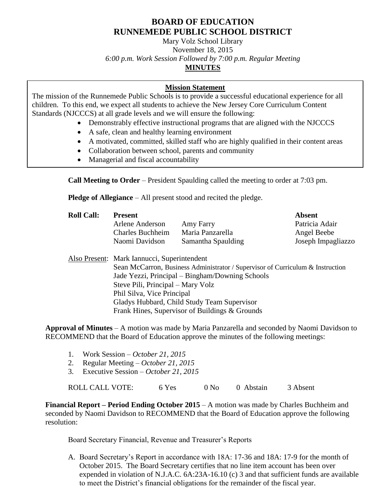# **BOARD OF EDUCATION RUNNEMEDE PUBLIC SCHOOL DISTRICT**

Mary Volz School Library November 18, 2015 *6:00 p.m. Work Session Followed by 7:00 p.m. Regular Meeting* **MINUTES**

## **Mission Statement**

The mission of the Runnemede Public Schools is to provide a successful educational experience for all children. To this end, we expect all students to achieve the New Jersey Core Curriculum Content Standards (NJCCCS) at all grade levels and we will ensure the following:

- Demonstrably effective instructional programs that are aligned with the NJCCCS
- A safe, clean and healthy learning environment
- A motivated, committed, skilled staff who are highly qualified in their content areas
- Collaboration between school, parents and community
- Managerial and fiscal accountability

**Call Meeting to Order** – President Spaulding called the meeting to order at 7:03 pm.

**Pledge of Allegiance** – All present stood and recited the pledge.

| <b>Roll Call:</b> | <b>Present</b><br>Arlene Anderson<br>Amy Farry                                 |                    | <b>Absent</b><br>Patricia Adair |  |  |  |
|-------------------|--------------------------------------------------------------------------------|--------------------|---------------------------------|--|--|--|
|                   | <b>Charles Buchheim</b>                                                        | Maria Panzarella   | Angel Beebe                     |  |  |  |
|                   | Naomi Davidson                                                                 | Samantha Spaulding | Joseph Impagliazzo              |  |  |  |
|                   | Also Present: Mark Iannucci, Superintendent                                    |                    |                                 |  |  |  |
|                   | Sean McCarron, Business Administrator / Supervisor of Curriculum & Instruction |                    |                                 |  |  |  |
|                   | Jade Yezzi, Principal – Bingham/Downing Schools                                |                    |                                 |  |  |  |
|                   | Steve Pili, Principal – Mary Volz                                              |                    |                                 |  |  |  |
|                   | ו יחידות מיווח                                                                 |                    |                                 |  |  |  |

Phil Silva, Vice Principal Gladys Hubbard, Child Study Team Supervisor

Frank Hines, Supervisor of Buildings & Grounds

**Approval of Minutes** – A motion was made by Maria Panzarella and seconded by Naomi Davidson to RECOMMEND that the Board of Education approve the minutes of the following meetings:

- 1. Work Session *October 21, 2015*
- 2. Regular Meeting *October 21, 2015*
- 3. Executive Session *October 21, 2015*

ROLL CALL VOTE: 6 Yes 0 No 0 Abstain 3 Absent

**Financial Report – Period Ending October 2015** – A motion was made by Charles Buchheim and seconded by Naomi Davidson to RECOMMEND that the Board of Education approve the following resolution:

Board Secretary Financial, Revenue and Treasurer's Reports

A. Board Secretary's Report in accordance with 18A: 17-36 and 18A: 17-9 for the month of October 2015. The Board Secretary certifies that no line item account has been over expended in violation of N.J.A.C. 6A:23A-16.10 (c) 3 and that sufficient funds are available to meet the District's financial obligations for the remainder of the fiscal year.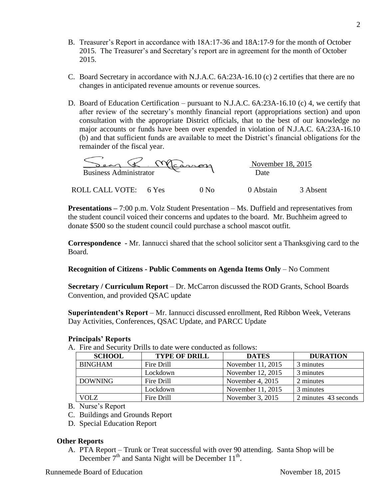- B. Treasurer's Report in accordance with 18A:17-36 and 18A:17-9 for the month of October 2015. The Treasurer's and Secretary's report are in agreement for the month of October 2015.
- C. Board Secretary in accordance with N.J.A.C. 6A:23A-16.10 (c) 2 certifies that there are no changes in anticipated revenue amounts or revenue sources.
- D. Board of Education Certification pursuant to N.J.A.C. 6A:23A-16.10 (c) 4, we certify that after review of the secretary's monthly financial report (appropriations section) and upon consultation with the appropriate District officials, that to the best of our knowledge no major accounts or funds have been over expended in violation of N.J.A.C. 6A:23A-16.10 (b) and that sufficient funds are available to meet the District's financial obligations for the remainder of the fiscal year.

| carnen                        |       |  | November 18, 2015 |          |
|-------------------------------|-------|--|-------------------|----------|
| <b>Business Administrator</b> |       |  | Date              |          |
| <b>ROLL CALL</b><br>VOTE:     | 6 Yes |  | 0 Abstain         | 3 Absent |

**Presentations –** 7:00 p.m. Volz Student Presentation – Ms. Duffield and representatives from the student council voiced their concerns and updates to the board. Mr. Buchheim agreed to donate \$500 so the student council could purchase a school mascot outfit.

**Correspondence -** Mr. Iannucci shared that the school solicitor sent a Thanksgiving card to the Board.

### **Recognition of Citizens - Public Comments on Agenda Items Only** – No Comment

**Secretary / Curriculum Report** – Dr. McCarron discussed the ROD Grants, School Boards Convention, and provided QSAC update

**Superintendent's Report** – Mr. Iannucci discussed enrollment, Red Ribbon Week, Veterans Day Activities, Conferences, QSAC Update, and PARCC Update

### **Principals' Reports**

A. Fire and Security Drills to date were conducted as follows:

| <b>SCHOOL</b>  | <b>TYPE OF DRILL</b> | <b>DATES</b>       | <b>DURATION</b>      |
|----------------|----------------------|--------------------|----------------------|
| <b>BINGHAM</b> | Fire Drill           | November 11, 2015  | 3 minutes            |
|                | Lockdown             | November 12, 2015  | 3 minutes            |
| <b>DOWNING</b> | Fire Drill           | November 4, $2015$ | 2 minutes            |
|                | Lockdown             | November 11, 2015  | 3 minutes            |
| VOLZ           | Fire Drill           | November 3, 2015   | 2 minutes 43 seconds |

- B. Nurse's Report
- C. Buildings and Grounds Report
- D. Special Education Report

### **Other Reports**

A. PTA Report – Trunk or Treat successful with over 90 attending. Santa Shop will be December  $7<sup>th</sup>$  and Santa Night will be December  $11<sup>th</sup>$ .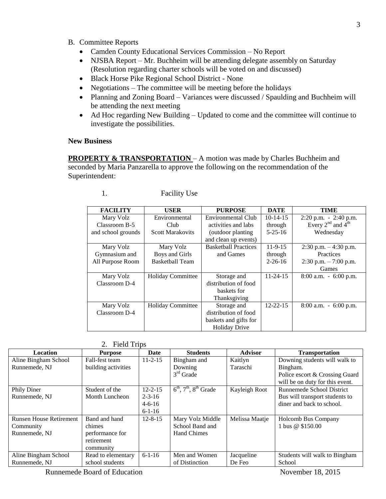- B. Committee Reports
	- Camden County Educational Services Commission No Report
	- NJSBA Report Mr. Buchheim will be attending delegate assembly on Saturday (Resolution regarding charter schools will be voted on and discussed)
	- Black Horse Pike Regional School District None
	- Negotiations The committee will be meeting before the holidays
	- Planning and Zoning Board Variances were discussed / Spaulding and Buchheim will be attending the next meeting
	- Ad Hoc regarding New Building Updated to come and the committee will continue to investigate the possibilities.

#### **New Business**

**PROPERTY & TRANSPORTATION** – A motion was made by Charles Buchheim and seconded by Maria Panzarella to approve the following on the recommendation of the Superintendent:

| <b>FACILITY</b>    | <b>USER</b>              | <b>PURPOSE</b>              | <b>DATE</b>    | TIME                     |
|--------------------|--------------------------|-----------------------------|----------------|--------------------------|
| Mary Volz          | Environmental            | <b>Environmental Club</b>   | $10-14-15$     | $2:20$ p.m. $-2:40$ p.m. |
| Classroom B-5      | Club                     | activities and labs         | through        | Every $2nd$ and $4th$    |
| and school grounds | <b>Scott Marakovits</b>  | (outdoor planting)          | $5 - 25 - 16$  | Wednesday                |
|                    |                          | and clean up events)        |                |                          |
| Mary Volz          | Mary Volz                | <b>Basketball Practices</b> | $11-9-15$      | $2:30$ p.m. $-4:30$ p.m. |
| Gymnasium and      | Boys and Girls           | and Games                   | through        | Practices                |
| All Purpose Room   | <b>Basketball Team</b>   |                             | $2 - 26 - 16$  | $2:30$ p.m. $-7:00$ p.m. |
|                    |                          |                             |                | Games                    |
| Mary Volz          | <b>Holiday Committee</b> | Storage and                 | $11 - 24 - 15$ | $8:00$ a.m. $-6:00$ p.m. |
| Classroom D-4      |                          | distribution of food        |                |                          |
|                    |                          | baskets for                 |                |                          |
|                    |                          | Thanksgiving                |                |                          |
| Mary Volz          | <b>Holiday Committee</b> | Storage and                 | $12 - 22 - 15$ | $8:00$ a.m. $-6:00$ p.m. |
| Classroom D-4      |                          | distribution of food        |                |                          |
|                    |                          | baskets and gifts for       |                |                          |
|                    |                          | <b>Holiday Drive</b>        |                |                          |

| <b>Facility Use</b> |
|---------------------|
|                     |

|  | <b>Field Trips</b> |
|--|--------------------|
|--|--------------------|

| Location                       | <b>Purpose</b>      | Date          | <b>Students</b>             | <b>Advisor</b> | <b>Transportation</b>           |
|--------------------------------|---------------------|---------------|-----------------------------|----------------|---------------------------------|
| Aline Bingham School           | Fall-fest team      | $11 - 2 - 15$ | Bingham and                 | Kaitlyn        | Downing students will walk to   |
| Runnemede, NJ                  | building activities |               | Downing                     | Taraschi       | Bingham.                        |
|                                |                     |               | $3rd$ Grade                 |                | Police escort & Crossing Guard  |
|                                |                     |               |                             |                | will be on duty for this event. |
| Phily Diner                    | Student of the      | $12 - 2 - 15$ | $6th$ , $7th$ , $8th$ Grade | Kayleigh Root  | Runnemede School District       |
| Runnemede, NJ                  | Month Luncheon      | $2 - 3 - 16$  |                             |                | Bus will transport students to  |
|                                |                     | $4 - 6 - 16$  |                             |                | diner and back to school.       |
|                                |                     | $6-1-16$      |                             |                |                                 |
| <b>Runsen House Retirement</b> | Band and hand       | $12 - 8 - 15$ | Mary Volz Middle            | Melissa Maatje | Holcomb Bus Company             |
| Community                      | chimes              |               | School Band and             |                | 1 bus $@$ \$150.00              |
| Runnemede, NJ                  | performance for     |               | <b>Hand Chimes</b>          |                |                                 |
|                                | retirement          |               |                             |                |                                 |
|                                | community           |               |                             |                |                                 |
| Aline Bingham School           | Read to elementary  | $6 - 1 - 16$  | Men and Women               | Jacqueline     | Students will walk to Bingham   |
| Runnemede, NJ                  | school students     |               | of Distinction              | De Feo         | School                          |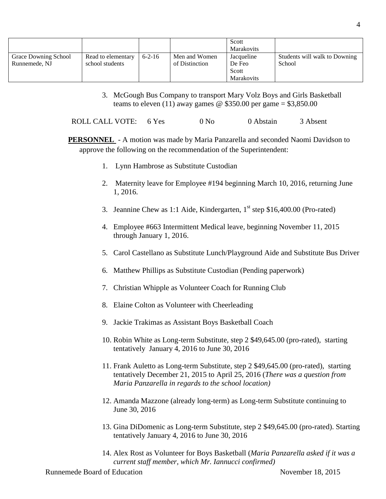|                      |                    |              |                | Scott             |                               |
|----------------------|--------------------|--------------|----------------|-------------------|-------------------------------|
|                      |                    |              |                | <b>Marakovits</b> |                               |
| Grace Downing School | Read to elementary | $6 - 2 - 16$ | Men and Women  | Jacqueline        | Students will walk to Downing |
| Runnemede, NJ        | school students    |              | of Distinction | De Feo            | School                        |
|                      |                    |              |                | Scott             |                               |
|                      |                    |              |                | <b>Marakovits</b> |                               |

3. McGough Bus Company to transport Mary Volz Boys and Girls Basketball teams to eleven (11) away games  $\omega$  \$350.00 per game = \$3,850.00

ROLL CALL VOTE: 6 Yes 0 No 0 Abstain 3 Absent

**PERSONNEL** - A motion was made by Maria Panzarella and seconded Naomi Davidson to approve the following on the recommendation of the Superintendent:

- 1. Lynn Hambrose as Substitute Custodian
- 2. Maternity leave for Employee #194 beginning March 10, 2016, returning June 1, 2016.
- 3. Jeannine Chew as 1:1 Aide, Kindergarten,  $1<sup>st</sup>$  step \$16,400.00 (Pro-rated)
- 4. Employee #663 Intermittent Medical leave, beginning November 11, 2015 through January 1, 2016.
- 5. Carol Castellano as Substitute Lunch/Playground Aide and Substitute Bus Driver
- 6. Matthew Phillips as Substitute Custodian (Pending paperwork)
- 7. Christian Whipple as Volunteer Coach for Running Club
- 8. Elaine Colton as Volunteer with Cheerleading
- 9. Jackie Trakimas as Assistant Boys Basketball Coach
- 10. Robin White as Long-term Substitute, step 2 \$49,645.00 (pro-rated), starting tentatively January 4, 2016 to June 30, 2016
- 11. Frank Auletto as Long-term Substitute, step 2 \$49,645.00 (pro-rated), starting tentatively December 21, 2015 to April 25, 2016 (*There was a question from Maria Panzarella in regards to the school location)*
- 12. Amanda Mazzone (already long-term) as Long-term Substitute continuing to June 30, 2016
- 13. Gina DiDomenic as Long-term Substitute, step 2 \$49,645.00 (pro-rated). Starting tentatively January 4, 2016 to June 30, 2016
- 14. Alex Rost as Volunteer for Boys Basketball (*Maria Panzarella asked if it was a current staff member, which Mr. Iannucci confirmed)*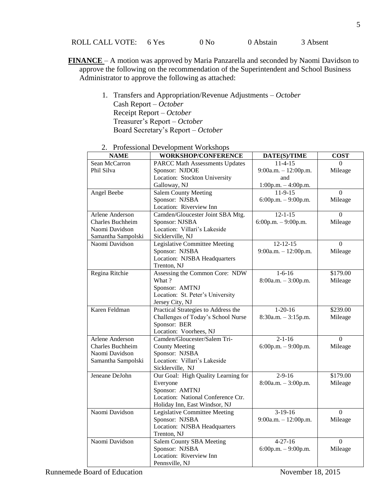ROLL CALL VOTE: 6 Yes 0 No 0 Abstain 3 Absent

- **FINANCE**  A motion was approved by Maria Panzarella and seconded by Naomi Davidson to approve the following on the recommendation of the Superintendent and School Business Administrator to approve the following as attached:
	- 1. Transfers and Appropriation/Revenue Adjustments *October* Cash Report – *October* Receipt Report – *October* Treasurer's Report – *October* Board Secretary's Report – *October*

| <b>NAME</b>             | <b>FLUIESSIONAL DEVELOPMENT WOLKSHOPS</b><br>WORKSHOP/CONFERENCE | DATE(S)/TIME           | <b>COST</b>    |
|-------------------------|------------------------------------------------------------------|------------------------|----------------|
| Sean McCarron           | <b>PARCC Math Assessments Updates</b>                            | $11 - 4 - 15$          | $\Omega$       |
| Phil Silva              | Sponsor: NJDOE                                                   | $9:00a.m. - 12:00p.m.$ | Mileage        |
|                         | Location: Stockton University                                    | and                    |                |
|                         | Galloway, NJ                                                     | $1:00p.m. - 4:00p.m.$  |                |
| Angel Beebe             | <b>Salem County Meeting</b>                                      | $11-9-15$              | $\Omega$       |
|                         | Sponsor: NJSBA                                                   | $6:00p.m. - 9:00p.m.$  | Mileage        |
|                         | Location: Riverview Inn                                          |                        |                |
| <b>Arlene Anderson</b>  | Camden/Gloucester Joint SBA Mtg.                                 | $12 - 1 - 15$          | $\Omega$       |
| <b>Charles Buchheim</b> | Sponsor: NJSBA                                                   | 6:00p.m. - 9:00p.m.    | Mileage        |
| Naomi Davidson          | Location: Villari's Lakeside                                     |                        |                |
| Samantha Sampolski      | Sicklerville, NJ                                                 |                        |                |
| Naomi Davidson          | <b>Legislative Committee Meeting</b>                             | $12 - 12 - 15$         | $\Omega$       |
|                         | Sponsor: NJSBA                                                   | 9:00a.m. - 12:00p.m.   | Mileage        |
|                         | Location: NJSBA Headquarters                                     |                        |                |
|                         | Trenton, NJ                                                      |                        |                |
| Regina Ritchie          | Assessing the Common Core: NDW                                   | $1 - 6 - 16$           | \$179.00       |
|                         | What?                                                            | 8:00a.m. - 3:00p.m.    | Mileage        |
|                         | Sponsor: AMTNJ                                                   |                        |                |
|                         | Location: St. Peter's University                                 |                        |                |
|                         | Jersey City, NJ                                                  |                        |                |
| Karen Feldman           | Practical Strategies to Address the                              | $1-20-16$              | \$239.00       |
|                         | Challenges of Today's School Nurse                               | $8:30a.m. - 3:15p.m.$  | Mileage        |
|                         | Sponsor: BER                                                     |                        |                |
|                         | Location: Voorhees, NJ                                           |                        |                |
| Arlene Anderson         | Camden/Gloucester/Salem Tri-                                     | $2 - 1 - 16$           | $\overline{0}$ |
| <b>Charles Buchheim</b> | <b>County Meeting</b>                                            | $6:00p.m. - 9:00p.m.$  | Mileage        |
| Naomi Davidson          | Sponsor: NJSBA                                                   |                        |                |
| Samantha Sampolski      | Location: Villari's Lakeside                                     |                        |                |
|                         | Sicklerville, NJ                                                 |                        |                |
| Jeneane DeJohn          | Our Goal: High Quality Learning for                              | $2 - 9 - 16$           | \$179.00       |
|                         | Everyone                                                         | $8:00a.m. - 3:00p.m.$  | Mileage        |
|                         | Sponsor: AMTNJ                                                   |                        |                |
|                         | Location: National Conference Ctr.                               |                        |                |
|                         | Holiday Inn, East Windsor, NJ                                    |                        |                |
| Naomi Davidson          | Legislative Committee Meeting                                    | $3-19-16$              | $\Omega$       |
|                         | Sponsor: NJSBA                                                   | 9:00a.m. - 12:00p.m.   | Mileage        |
|                         | Location: NJSBA Headquarters                                     |                        |                |
|                         | Trenton, NJ                                                      |                        |                |
| Naomi Davidson          | <b>Salem County SBA Meeting</b>                                  | $4 - 27 - 16$          | $\Omega$       |
|                         | Sponsor: NJSBA                                                   | 6:00p.m. - 9:00p.m.    | Mileage        |
|                         | Location: Riverview Inn                                          |                        |                |
|                         | Pennsville, NJ                                                   |                        |                |

2. Professional Development Workshops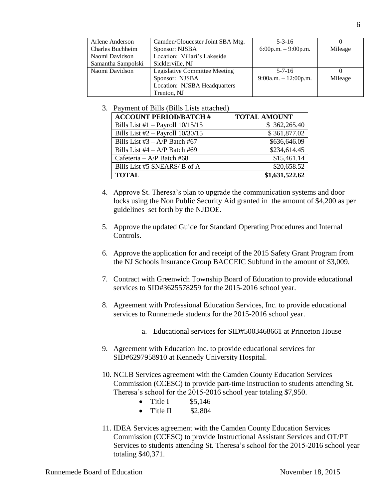| Arlene Anderson         | Camden/Gloucester Joint SBA Mtg. | $5 - 3 - 16$           |         |
|-------------------------|----------------------------------|------------------------|---------|
| <b>Charles Buchheim</b> | Sponsor: NJSBA                   | $6:00p.m. - 9:00p.m.$  | Mileage |
| Naomi Davidson          | Location: Villari's Lakeside     |                        |         |
| Samantha Sampolski      | Sicklerville, NJ                 |                        |         |
| Naomi Davidson          | Legislative Committee Meeting    | $5 - 7 - 16$           |         |
|                         | Sponsor: NJSBA                   | $9:00a.m. - 12:00p.m.$ | Mileage |
|                         | Location: NJSBA Headquarters     |                        |         |
|                         | Trenton, NJ                      |                        |         |

3. Payment of Bills (Bills Lists attached)

| <b>ACCOUNT PERIOD/BATCH #</b>        | <b>TOTAL AMOUNT</b> |
|--------------------------------------|---------------------|
| Bills List #1 $-$ Payroll 10/15/15   | \$362,265.40        |
| Bills List $#2 -$ Payroll $10/30/15$ | \$361,877.02        |
| Bills List $#3 - A/P$ Batch $#67$    | \$636,646.09        |
| Bills List $#4 - A/P$ Batch $#69$    | \$234,614.45        |
| Cafeteria – $A/P$ Batch #68          | \$15,461.14         |
| Bills List #5 SNEARS/ B of A         | \$20,658.52         |
| <b>TOTAL</b>                         | \$1,631,522.62      |

- 4. Approve St. Theresa's plan to upgrade the communication systems and door locks using the Non Public Security Aid granted in the amount of \$4,200 as per guidelines set forth by the NJDOE.
- 5. Approve the updated Guide for Standard Operating Procedures and Internal Controls.
- 6. Approve the application for and receipt of the 2015 Safety Grant Program from the NJ Schools Insurance Group BACCEIC Subfund in the amount of \$3,009.
- 7. Contract with Greenwich Township Board of Education to provide educational services to SID#3625578259 for the 2015-2016 school year.
- 8. Agreement with Professional Education Services, Inc. to provide educational services to Runnemede students for the 2015-2016 school year.
	- a. Educational services for SID#5003468661 at Princeton House
- 9. Agreement with Education Inc. to provide educational services for SID#6297958910 at Kennedy University Hospital.
- 10. NCLB Services agreement with the Camden County Education Services Commission (CCESC) to provide part-time instruction to students attending St. Theresa's school for the 2015-2016 school year totaling \$7,950.
	- Title I  $$5,146$
	- $\bullet$  Title II  $\$2.804$
- 11. IDEA Services agreement with the Camden County Education Services Commission (CCESC) to provide Instructional Assistant Services and OT/PT Services to students attending St. Theresa's school for the 2015-2016 school year totaling \$40,371.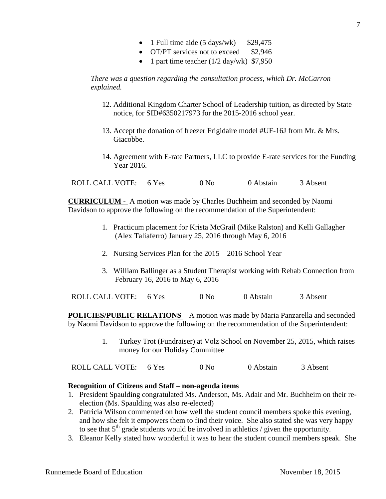- 1 Full time aide  $(5 \text{ days/wk})$  \$29,475
- OT/PT services not to exceed \$2,946
- 1 part time teacher  $(1/2 \text{ day/wk})$  \$7,950

*There was a question regarding the consultation process, which Dr. McCarron explained.*

- 12. Additional Kingdom Charter School of Leadership tuition, as directed by State notice, for SID#6350217973 for the 2015-2016 school year.
- 13. Accept the donation of freezer Frigidaire model #UF-16J from Mr. & Mrs. Giacobbe.
- 14. Agreement with E-rate Partners, LLC to provide E-rate services for the Funding Year 2016.

ROLL CALL VOTE: 6 Yes 0 No 0 Abstain 3 Absent

**CURRICULUM -** A motion was made by Charles Buchheim and seconded by Naomi Davidson to approve the following on the recommendation of the Superintendent:

- 1. Practicum placement for Krista McGrail (Mike Ralston) and Kelli Gallagher (Alex Taliaferro) January 25, 2016 through May 6, 2016
- 2. Nursing Services Plan for the 2015 2016 School Year
- 3. William Ballinger as a Student Therapist working with Rehab Connection from February 16, 2016 to May 6, 2016

ROLL CALL VOTE: 6 Yes 0 No 0 Abstain 3 Absent

**POLICIES/PUBLIC RELATIONS** – A motion was made by Maria Panzarella and seconded by Naomi Davidson to approve the following on the recommendation of the Superintendent:

> 1. Turkey Trot (Fundraiser) at Volz School on November 25, 2015, which raises money for our Holiday Committee

ROLL CALL VOTE: 6 Yes 0 No 0 Abstain 3 Absent

### **Recognition of Citizens and Staff – non-agenda items**

- 1. President Spaulding congratulated Ms. Anderson, Ms. Adair and Mr. Buchheim on their reelection (Ms. Spaulding was also re-elected)
- 2. Patricia Wilson commented on how well the student council members spoke this evening, and how she felt it empowers them to find their voice. She also stated she was very happy to see that  $5<sup>th</sup>$  grade students would be involved in athletics / given the opportunity.
- 3. Eleanor Kelly stated how wonderful it was to hear the student council members speak. She